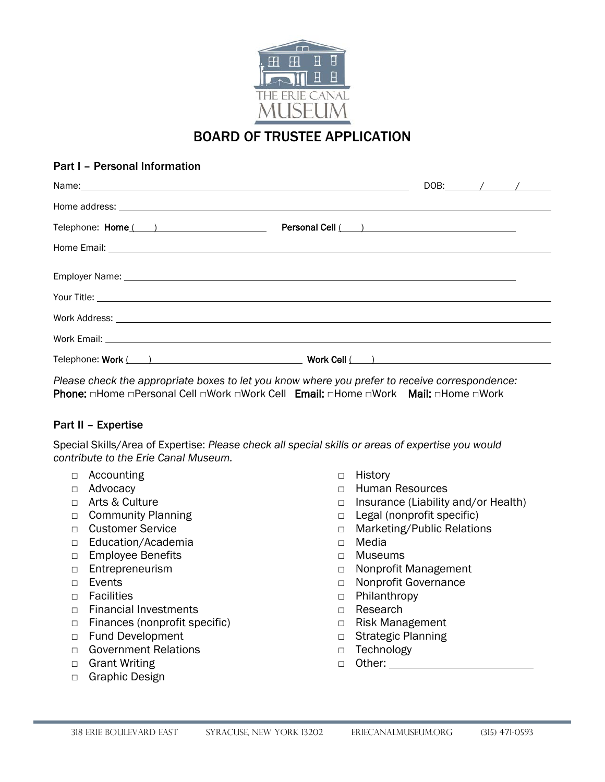

## BOARD OF TRUSTEE APPLICATION

## Part I – Personal Information

| Name: Name: Name: Name: Name: Name: Name: Name: Name: Name: Name: Name: Name: Name: Name: Name: Name: Name: Name: Name: Name: Name: Name: Name: Name: Name: Name: Name: Name: Name: Name: Name: Name: Name: Name: Name: Name: | DOB: $\angle$ |  |
|-------------------------------------------------------------------------------------------------------------------------------------------------------------------------------------------------------------------------------|---------------|--|
|                                                                                                                                                                                                                               |               |  |
|                                                                                                                                                                                                                               |               |  |
|                                                                                                                                                                                                                               |               |  |
|                                                                                                                                                                                                                               |               |  |
| Your Title: <u>www.community.community.community.community.com</u>                                                                                                                                                            |               |  |
|                                                                                                                                                                                                                               |               |  |
|                                                                                                                                                                                                                               |               |  |
|                                                                                                                                                                                                                               |               |  |

*Please check the appropriate boxes to let you know where you prefer to receive correspondence:* Phone: □Home □Personal Cell □Work □Work Cell Email: □Home □Work Mail: □Home □Work

## Part II – Expertise

Special Skills/Area of Expertise: *Please check all special skills or areas of expertise you would contribute to the Erie Canal Museum.*

- □ Accounting
- □ Advocacy
- □ Arts & Culture
- □ Community Planning
- □ Customer Service
- □ Education/Academia
- □ Employee Benefits
- □ Entrepreneurism
- □ Events
- □ Facilities
- □ Financial Investments
- □ Finances (nonprofit specific)
- □ Fund Development
- □ Government Relations
- □ Grant Writing
- □ Graphic Design
- □ History
- □ Human Resources
- □ Insurance (Liability and/or Health)
- □ Legal (nonprofit specific)
- □ Marketing/Public Relations
- □ Media
- □ Museums
- □ Nonprofit Management
- □ Nonprofit Governance
- □ Philanthropy
- □ Research
- □ Risk Management
- □ Strategic Planning
- □ Technology
- □ Other: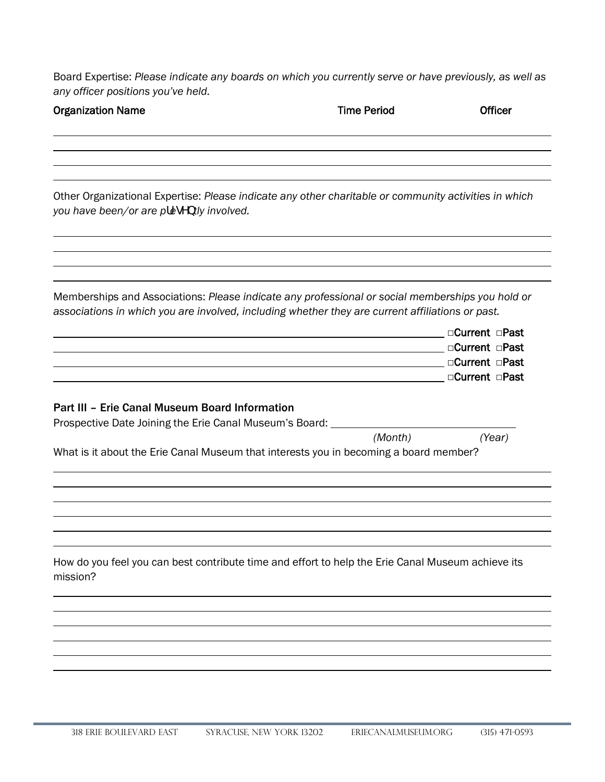Board Expertise: *Please indicate any boards on which you currently serve or have previously, as well as any officer positions you've held.* 

| <b>Organization Name</b>                                                                                       | <b>Time Period</b>                                                                                                                                                                                   | Officer                                                              |
|----------------------------------------------------------------------------------------------------------------|------------------------------------------------------------------------------------------------------------------------------------------------------------------------------------------------------|----------------------------------------------------------------------|
|                                                                                                                |                                                                                                                                                                                                      |                                                                      |
| you have been/or are pfegYbtly involved.                                                                       | Other Organizational Expertise: Please indicate any other charitable or community activities in which                                                                                                |                                                                      |
|                                                                                                                | Memberships and Associations: Please indicate any professional or social memberships you hold or<br>associations in which you are involved, including whether they are current affiliations or past. |                                                                      |
|                                                                                                                |                                                                                                                                                                                                      | □Current □Past<br>□Current □Past<br>□Current □Past<br>□Current □Past |
| Part III - Erie Canal Museum Board Information<br>Prospective Date Joining the Erie Canal Museum's Board: ____ |                                                                                                                                                                                                      |                                                                      |
|                                                                                                                | (Month)<br>What is it about the Erie Canal Museum that interests you in becoming a board member?                                                                                                     | (Year)                                                               |
|                                                                                                                |                                                                                                                                                                                                      |                                                                      |
| mission?                                                                                                       | How do you feel you can best contribute time and effort to help the Erie Canal Museum achieve its                                                                                                    |                                                                      |
|                                                                                                                |                                                                                                                                                                                                      |                                                                      |
|                                                                                                                |                                                                                                                                                                                                      |                                                                      |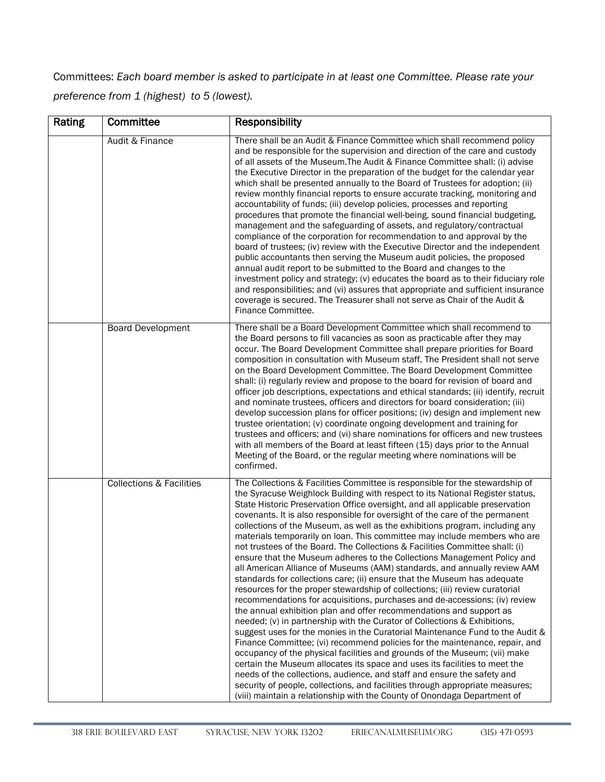Committees: *Each board member is asked to participate in at least one Committee. Please rate your preference from 1 (highest) to 5 (lowest).* 

| Rating | Committee                           | Responsibility                                                                                                                                                                                                                                                                                                                                                                                                                                                                                                                                                                                                                                                                                                                                                                                                                                                                                                                                                                                                                                                                                                                                                                                                                                                                                                                                                                                                                                                                                                                                                                                                                                                                                        |  |
|--------|-------------------------------------|-------------------------------------------------------------------------------------------------------------------------------------------------------------------------------------------------------------------------------------------------------------------------------------------------------------------------------------------------------------------------------------------------------------------------------------------------------------------------------------------------------------------------------------------------------------------------------------------------------------------------------------------------------------------------------------------------------------------------------------------------------------------------------------------------------------------------------------------------------------------------------------------------------------------------------------------------------------------------------------------------------------------------------------------------------------------------------------------------------------------------------------------------------------------------------------------------------------------------------------------------------------------------------------------------------------------------------------------------------------------------------------------------------------------------------------------------------------------------------------------------------------------------------------------------------------------------------------------------------------------------------------------------------------------------------------------------------|--|
|        | Audit & Finance                     | There shall be an Audit & Finance Committee which shall recommend policy<br>and be responsible for the supervision and direction of the care and custody<br>of all assets of the Museum. The Audit & Finance Committee shall: (i) advise<br>the Executive Director in the preparation of the budget for the calendar year<br>which shall be presented annually to the Board of Trustees for adoption; (ii)<br>review monthly financial reports to ensure accurate tracking, monitoring and<br>accountability of funds; (iii) develop policies, processes and reporting<br>procedures that promote the financial well-being, sound financial budgeting,<br>management and the safeguarding of assets, and regulatory/contractual<br>compliance of the corporation for recommendation to and approval by the<br>board of trustees; (iv) review with the Executive Director and the independent<br>public accountants then serving the Museum audit policies, the proposed<br>annual audit report to be submitted to the Board and changes to the<br>investment policy and strategy; (v) educates the board as to their fiduciary role<br>and responsibilities; and (vi) assures that appropriate and sufficient insurance<br>coverage is secured. The Treasurer shall not serve as Chair of the Audit &<br>Finance Committee.                                                                                                                                                                                                                                                                                                                                                                           |  |
|        | <b>Board Development</b>            | There shall be a Board Development Committee which shall recommend to<br>the Board persons to fill vacancies as soon as practicable after they may<br>occur. The Board Development Committee shall prepare priorities for Board<br>composition in consultation with Museum staff. The President shall not serve<br>on the Board Development Committee. The Board Development Committee<br>shall: (i) regularly review and propose to the board for revision of board and<br>officer job descriptions, expectations and ethical standards; (ii) identify, recruit<br>and nominate trustees, officers and directors for board consideration; (iii)<br>develop succession plans for officer positions; (iv) design and implement new<br>trustee orientation; (v) coordinate ongoing development and training for<br>trustees and officers; and (vi) share nominations for officers and new trustees<br>with all members of the Board at least fifteen (15) days prior to the Annual<br>Meeting of the Board, or the regular meeting where nominations will be<br>confirmed.                                                                                                                                                                                                                                                                                                                                                                                                                                                                                                                                                                                                                              |  |
|        | <b>Collections &amp; Facilities</b> | The Collections & Facilities Committee is responsible for the stewardship of<br>the Syracuse Weighlock Building with respect to its National Register status,<br>State Historic Preservation Office oversight, and all applicable preservation<br>covenants. It is also responsible for oversight of the care of the permanent<br>collections of the Museum, as well as the exhibitions program, including any<br>materials temporarily on loan. This committee may include members who are<br>not trustees of the Board. The Collections & Facilities Committee shall: (i)<br>ensure that the Museum adheres to the Collections Management Policy and<br>all American Alliance of Museums (AAM) standards, and annually review AAM<br>standards for collections care; (ii) ensure that the Museum has adequate<br>resources for the proper stewardship of collections; (iii) review curatorial<br>recommendations for acquisitions, purchases and de-accessions; (iv) review<br>the annual exhibition plan and offer recommendations and support as<br>needed; (v) in partnership with the Curator of Collections & Exhibitions,<br>suggest uses for the monies in the Curatorial Maintenance Fund to the Audit &<br>Finance Committee; (vi) recommend policies for the maintenance, repair, and<br>occupancy of the physical facilities and grounds of the Museum; (vii) make<br>certain the Museum allocates its space and uses its facilities to meet the<br>needs of the collections, audience, and staff and ensure the safety and<br>security of people, collections, and facilities through appropriate measures;<br>(viii) maintain a relationship with the County of Onondaga Department of |  |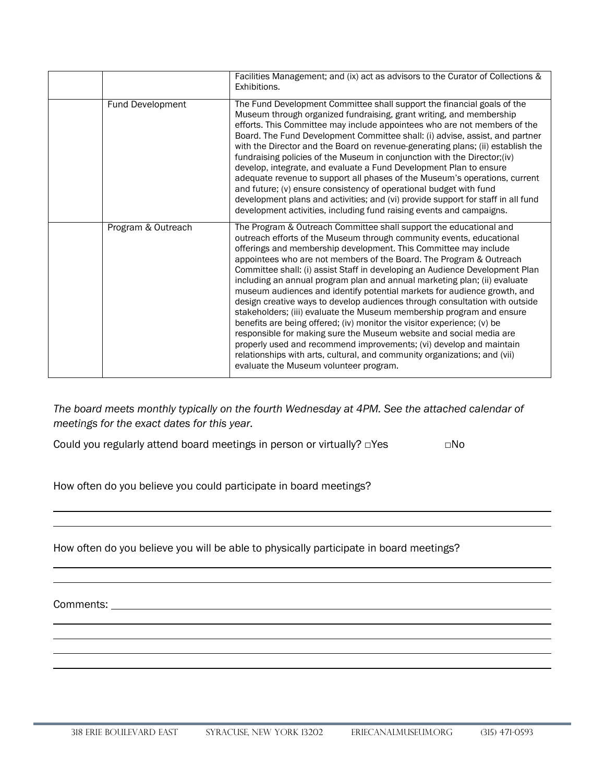|                    | Facilities Management; and (ix) act as advisors to the Curator of Collections &<br>Exhibitions.                                                                                                                                                                                                                                                                                                                                                                                                                                                                                                                                                                                                                                                                                                                                                                                                                                                                                                                                        |
|--------------------|----------------------------------------------------------------------------------------------------------------------------------------------------------------------------------------------------------------------------------------------------------------------------------------------------------------------------------------------------------------------------------------------------------------------------------------------------------------------------------------------------------------------------------------------------------------------------------------------------------------------------------------------------------------------------------------------------------------------------------------------------------------------------------------------------------------------------------------------------------------------------------------------------------------------------------------------------------------------------------------------------------------------------------------|
| Fund Development   | The Fund Development Committee shall support the financial goals of the<br>Museum through organized fundraising, grant writing, and membership<br>efforts. This Committee may include appointees who are not members of the<br>Board. The Fund Development Committee shall: (i) advise, assist, and partner<br>with the Director and the Board on revenue-generating plans; (ii) establish the<br>fundraising policies of the Museum in conjunction with the Director; (iv)<br>develop, integrate, and evaluate a Fund Development Plan to ensure<br>adequate revenue to support all phases of the Museum's operations, current<br>and future; (v) ensure consistency of operational budget with fund<br>development plans and activities; and (vi) provide support for staff in all fund<br>development activities, including fund raising events and campaigns.                                                                                                                                                                      |
| Program & Outreach | The Program & Outreach Committee shall support the educational and<br>outreach efforts of the Museum through community events, educational<br>offerings and membership development. This Committee may include<br>appointees who are not members of the Board. The Program & Outreach<br>Committee shall: (i) assist Staff in developing an Audience Development Plan<br>including an annual program plan and annual marketing plan; (ii) evaluate<br>museum audiences and identify potential markets for audience growth, and<br>design creative ways to develop audiences through consultation with outside<br>stakeholders; (iii) evaluate the Museum membership program and ensure<br>benefits are being offered; (iv) monitor the visitor experience; (v) be<br>responsible for making sure the Museum website and social media are<br>properly used and recommend improvements; (vi) develop and maintain<br>relationships with arts, cultural, and community organizations; and (vii)<br>evaluate the Museum volunteer program. |

*The board meets monthly typically on the fourth Wednesday at 4PM. See the attached calendar of meetings for the exact dates for this year.* 

Could you regularly attend board meetings in person or virtually? □Yes □No

How often do you believe you could participate in board meetings?

How often do you believe you will be able to physically participate in board meetings?

Comments: